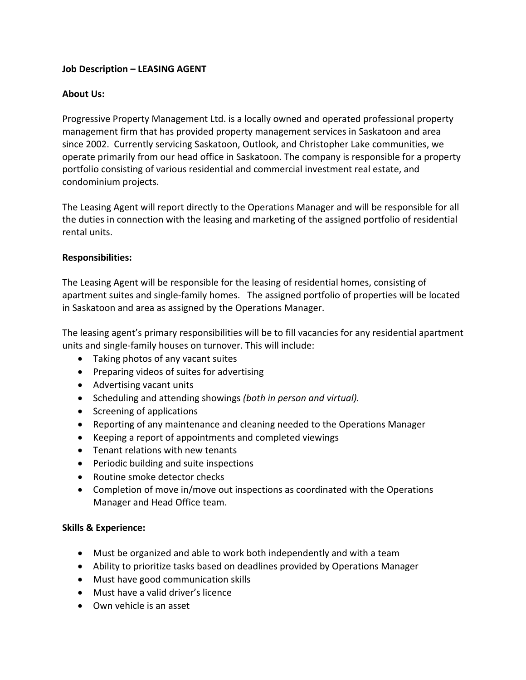# **Job Description – LEASING AGENT**

### **About Us:**

Progressive Property Management Ltd. is a locally owned and operated professional property management firm that has provided property management services in Saskatoon and area since 2002. Currently servicing Saskatoon, Outlook, and Christopher Lake communities, we operate primarily from our head office in Saskatoon. The company is responsible for a property portfolio consisting of various residential and commercial investment real estate, and condominium projects.

The Leasing Agent will report directly to the Operations Manager and will be responsible for all the duties in connection with the leasing and marketing of the assigned portfolio of residential rental units.

#### **Responsibilities:**

The Leasing Agent will be responsible for the leasing of residential homes, consisting of apartment suites and single-family homes. The assigned portfolio of properties will be located in Saskatoon and area as assigned by the Operations Manager.

The leasing agent's primary responsibilities will be to fill vacancies for any residential apartment units and single-family houses on turnover. This will include:

- Taking photos of any vacant suites
- Preparing videos of suites for advertising
- Advertising vacant units
- Scheduling and attending showings *(both in person and virtual).*
- Screening of applications
- Reporting of any maintenance and cleaning needed to the Operations Manager
- Keeping a report of appointments and completed viewings
- Tenant relations with new tenants
- Periodic building and suite inspections
- Routine smoke detector checks
- Completion of move in/move out inspections as coordinated with the Operations Manager and Head Office team.

#### **Skills & Experience:**

- Must be organized and able to work both independently and with a team
- Ability to prioritize tasks based on deadlines provided by Operations Manager
- Must have good communication skills
- Must have a valid driver's licence
- Own vehicle is an asset